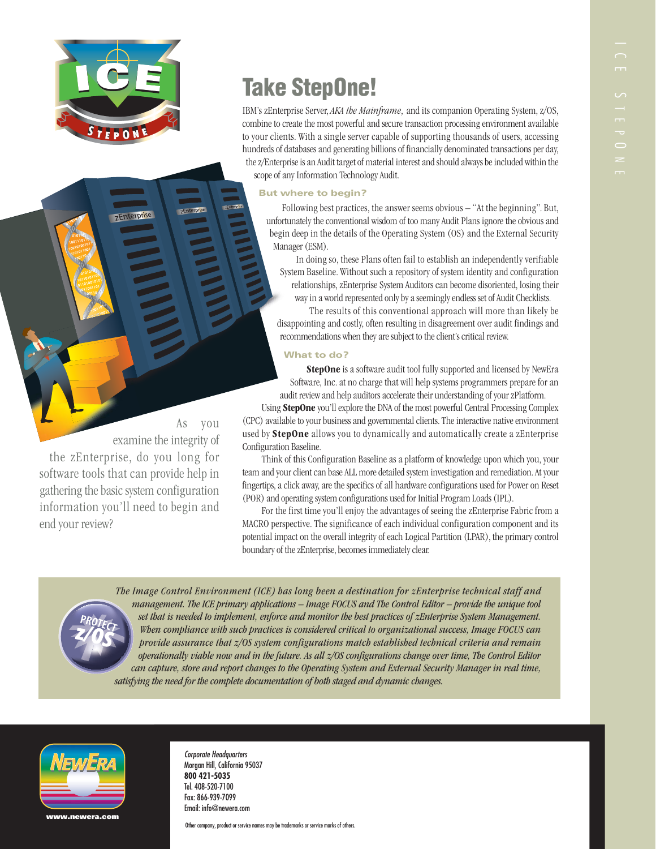

# **Take StepOne!**

IBM's zEnterprise Server, *AKA the Mainframe,* and its companion Operating System, z/OS, combine to create the most powerful and secure transaction processing environment available to your clients. With a single server capable of supporting thousands of users, accessing hundreds of databases and generating billions of financially denominated transactions per day, the z/Enterprise is an Audit target of material interest and should always be included within the scope of any Information Technology Audit.

# **But where to begin?**

Following best practices, the answer seems obvious – "At the beginning". But, unfortunately the conventional wisdom of too many Audit Plans ignore the obvious and begin deep in the details of the Operating System (OS) and the External Security Manager (ESM).

In doing so, these Plans often fail to establish an independently verifiable System Baseline. Without such a repository of system identity and configuration relationships, zEnterprise System Auditors can become disoriented, losing their way in a world represented only by a seemingly endless set of Audit Checklists.

The results of this conventional approach will more than likely be disappointing and costly, often resulting in disagreement over audit findings and recommendations when they are subject to the client's critical review.

# **What to do?**

**StepOne** is a software audit tool fully supported and licensed by NewEra Software, Inc. at no charge that will help systems programmers prepare for an audit review and help auditors accelerate their understanding of your zPlatform.

Using **StepOne** you'll explore the DNA of the most powerful Central Processing Complex (CPC) available to your business and governmental clients. The interactive native environment used by **StepOne** allows you to dynamically and automatically create a zEnterprise Configuration Baseline.

Think of this Configuration Baseline as a platform of knowledge upon which you, your team and your client can base ALL more detailed system investigation and remediation. At your fingertips, a click away, are the specifics of all hardware configurations used for Power on Reset (POR) and operating system configurations used for Initial Program Loads (IPL).

For the first time you'll enjoy the advantages of seeing the zEnterprise Fabric from a MACRO perspective. The significance of each individual configuration component and its potential impact on the overall integrity of each Logical Partition (LPAR), the primary control boundary of the zEnterprise, becomes immediately clear.



end your review?

*The Image Control Environment (ICE) has long been a destination for zEnterprise technical staff and management. The ICE primary applications – Image FOCUS and The Control Editor – provide the unique tool set that is needed to implement, enforce and monitor the best practices of zEnterprise System Management. When compliance with such practices is considered critical to organizational success, Image FOCUS can provide assurance that z/OS system configurations match established technical criteria and remain operationally viable now and in the future. As all z/OS configurations change over time, The Control Editor can capture, store and report changes to the Operating System and External Security Manager in real time, satisfying the need for the complete documentation of both staged and dynamic changes.*



Corporate Headquarters Morgan Hill, California 95037 **800 421-5035** Tel. 408-520-7100 Fax: 866-939-7099 Email: info@newera.com

As you

examine the integrity of

the zEnterprise, do you long for software tools that can provide help in gathering the basic system configuration information you'll need to begin and

Other company, product or service names may be trademarks or service marks of others.